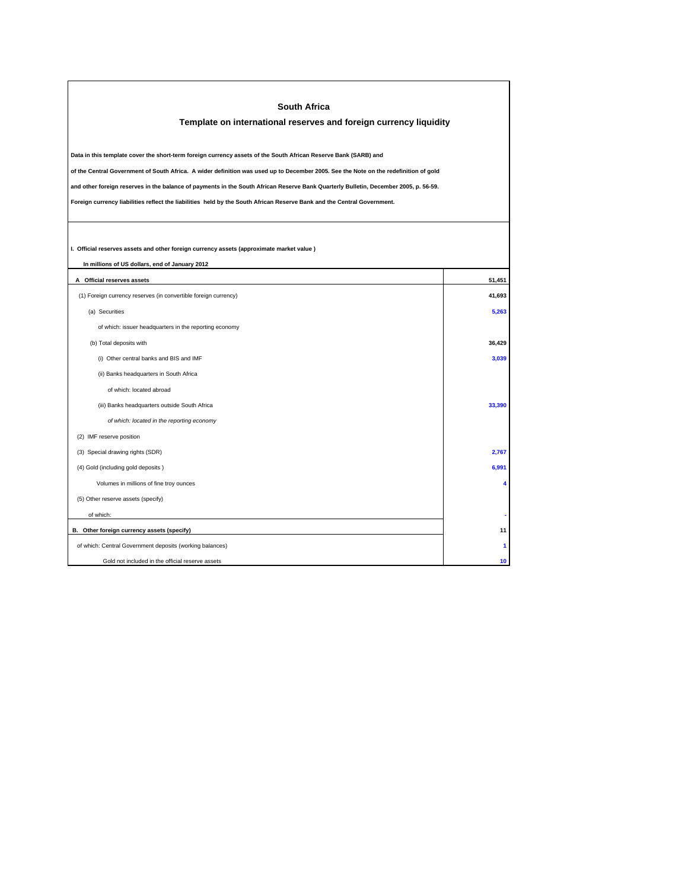| South Africa<br>Template on international reserves and foreign currency liquidity                                                                                                                                                                               |        |  |  |  |  |
|-----------------------------------------------------------------------------------------------------------------------------------------------------------------------------------------------------------------------------------------------------------------|--------|--|--|--|--|
| Data in this template cover the short-term foreign currency assets of the South African Reserve Bank (SARB) and                                                                                                                                                 |        |  |  |  |  |
| of the Central Government of South Africa. A wider definition was used up to December 2005. See the Note on the redefinition of gold                                                                                                                            |        |  |  |  |  |
| and other foreign reserves in the balance of payments in the South African Reserve Bank Quarterly Bulletin, December 2005, p. 56-59.<br>Foreign currency liabilities reflect the liabilities held by the South African Reserve Bank and the Central Government. |        |  |  |  |  |
|                                                                                                                                                                                                                                                                 |        |  |  |  |  |
| I. Official reserves assets and other foreign currency assets (approximate market value)                                                                                                                                                                        |        |  |  |  |  |
| In millions of US dollars, end of January 2012                                                                                                                                                                                                                  |        |  |  |  |  |
| A Official reserves assets                                                                                                                                                                                                                                      | 51,451 |  |  |  |  |
| (1) Foreign currency reserves (in convertible foreign currency)                                                                                                                                                                                                 | 41,693 |  |  |  |  |
| (a) Securities                                                                                                                                                                                                                                                  | 5,263  |  |  |  |  |
| of which: issuer headquarters in the reporting economy                                                                                                                                                                                                          |        |  |  |  |  |
| (b) Total deposits with                                                                                                                                                                                                                                         | 36,429 |  |  |  |  |
| (i) Other central banks and BIS and IMF                                                                                                                                                                                                                         | 3,039  |  |  |  |  |
| (ii) Banks headquarters in South Africa                                                                                                                                                                                                                         |        |  |  |  |  |
| of which: located abroad                                                                                                                                                                                                                                        |        |  |  |  |  |
| (iii) Banks headquarters outside South Africa                                                                                                                                                                                                                   | 33,390 |  |  |  |  |
| of which: located in the reporting economy                                                                                                                                                                                                                      |        |  |  |  |  |
| (2) IMF reserve position                                                                                                                                                                                                                                        |        |  |  |  |  |
| (3) Special drawing rights (SDR)                                                                                                                                                                                                                                | 2,767  |  |  |  |  |
| (4) Gold (including gold deposits)                                                                                                                                                                                                                              | 6,991  |  |  |  |  |
| Volumes in millions of fine troy ounces                                                                                                                                                                                                                         | 4      |  |  |  |  |
| (5) Other reserve assets (specify)                                                                                                                                                                                                                              |        |  |  |  |  |
| of which:                                                                                                                                                                                                                                                       |        |  |  |  |  |
| B. Other foreign currency assets (specify)                                                                                                                                                                                                                      | 11     |  |  |  |  |
| of which: Central Government deposits (working balances)                                                                                                                                                                                                        | 1      |  |  |  |  |
| Gold not included in the official reserve assets                                                                                                                                                                                                                | 10     |  |  |  |  |

Г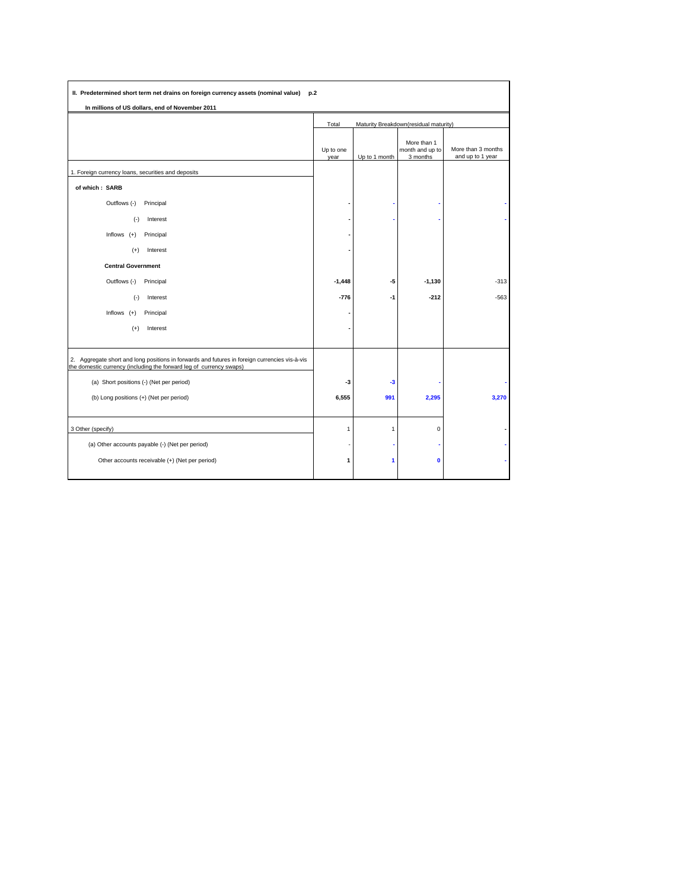| In millions of US dollars, end of November 2011                                                                                                                      |                                                |               |                                            |                                        |
|----------------------------------------------------------------------------------------------------------------------------------------------------------------------|------------------------------------------------|---------------|--------------------------------------------|----------------------------------------|
|                                                                                                                                                                      | Maturity Breakdown(residual maturity)<br>Total |               |                                            |                                        |
|                                                                                                                                                                      | Up to one<br>year                              | Up to 1 month | More than 1<br>month and up to<br>3 months | More than 3 months<br>and up to 1 year |
| 1. Foreign currency loans, securities and deposits                                                                                                                   |                                                |               |                                            |                                        |
| of which: SARB                                                                                                                                                       |                                                |               |                                            |                                        |
| Outflows (-)<br>Principal                                                                                                                                            |                                                |               |                                            |                                        |
| $(-)$<br>Interest                                                                                                                                                    |                                                |               |                                            |                                        |
| Inflows $(+)$<br>Principal                                                                                                                                           |                                                |               |                                            |                                        |
| Interest<br>$(+)$                                                                                                                                                    |                                                |               |                                            |                                        |
| <b>Central Government</b>                                                                                                                                            |                                                |               |                                            |                                        |
| Outflows (-)<br>Principal                                                                                                                                            | $-1,448$                                       | -5            | $-1,130$                                   | $-313$                                 |
| $(-)$<br>Interest                                                                                                                                                    | $-776$                                         | $-1$          | $-212$                                     | $-563$                                 |
| Inflows $(+)$<br>Principal                                                                                                                                           |                                                |               |                                            |                                        |
| Interest<br>$(+)$                                                                                                                                                    |                                                |               |                                            |                                        |
| 2. Aggregate short and long positions in forwards and futures in foreign currencies vis-à-vis<br>the domestic currency (including the forward leg of currency swaps) |                                                |               |                                            |                                        |
| (a) Short positions (-) (Net per period)                                                                                                                             | -3                                             | $-3$          |                                            |                                        |
| (b) Long positions (+) (Net per period)                                                                                                                              | 6,555                                          | 991           | 2,295                                      | 3,270                                  |
| 3 Other (specify)                                                                                                                                                    | $\mathbf{1}$                                   | 1             | $\pmb{0}$                                  |                                        |
| (a) Other accounts payable (-) (Net per period)                                                                                                                      | J.                                             |               |                                            |                                        |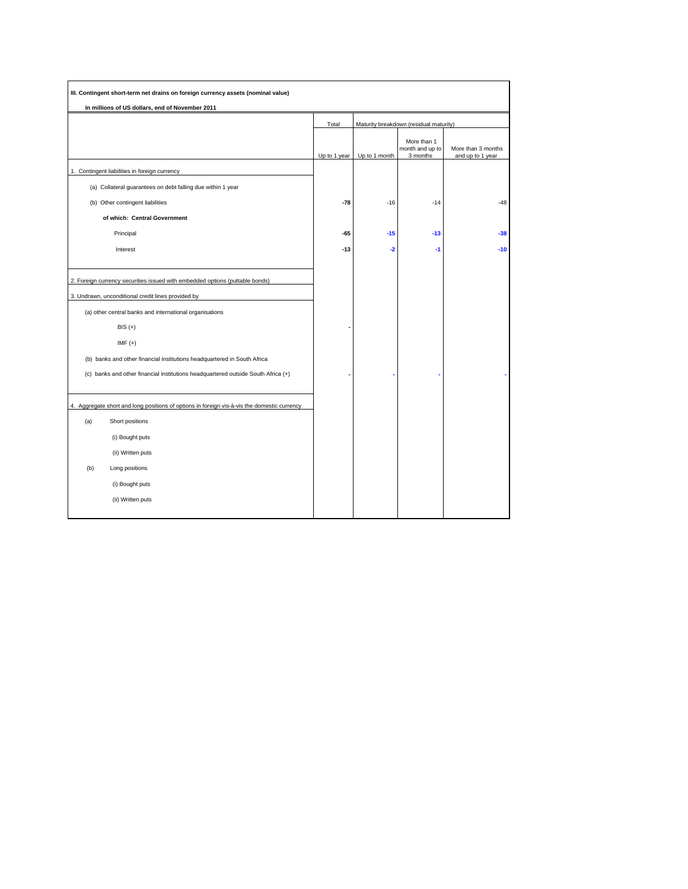| In millions of US dollars, end of November 2011                                                                                                                                               |              |                                        |                                            |                                        |  |
|-----------------------------------------------------------------------------------------------------------------------------------------------------------------------------------------------|--------------|----------------------------------------|--------------------------------------------|----------------------------------------|--|
|                                                                                                                                                                                               | Total        | Maturity breakdown (residual maturity) |                                            |                                        |  |
|                                                                                                                                                                                               | Up to 1 year | Up to 1 month                          | More than 1<br>month and up to<br>3 months | More than 3 months<br>and up to 1 year |  |
| 1. Contingent liabilities in foreign currency                                                                                                                                                 |              |                                        |                                            |                                        |  |
| (a) Collateral guarantees on debt falling due within 1 year                                                                                                                                   |              |                                        |                                            |                                        |  |
| (b) Other contingent liabilities                                                                                                                                                              | $-78$        | $-16$                                  | $-14$                                      | $-48$                                  |  |
| of which: Central Government                                                                                                                                                                  |              |                                        |                                            |                                        |  |
| Principal                                                                                                                                                                                     | $-65$        | $-15$                                  | $-13$                                      | $-38$                                  |  |
| Interest                                                                                                                                                                                      | $-13$        | $-2$                                   | $-1$                                       | $-10$                                  |  |
| 2. Foreign currency securities issued with embedded options (puttable bonds)<br>3. Undrawn, unconditional credit lines provided by<br>(a) other central banks and international organisations |              |                                        |                                            |                                        |  |
| $BIS (+)$<br>$IMF (+)$<br>(b) banks and other financial institutions headquartered in South Africa                                                                                            |              |                                        |                                            |                                        |  |
| (c) banks and other financial institutions headquartered outside South Africa (+)                                                                                                             |              |                                        |                                            |                                        |  |
| 4. Aggregate short and long positions of options in foreign vis-à-vis the domestic currency<br>(a)<br>Short positions<br>(i) Bought puts<br>(ii) Written puts                                 |              |                                        |                                            |                                        |  |
| (b)<br>Long positions<br>(i) Bought puts                                                                                                                                                      |              |                                        |                                            |                                        |  |